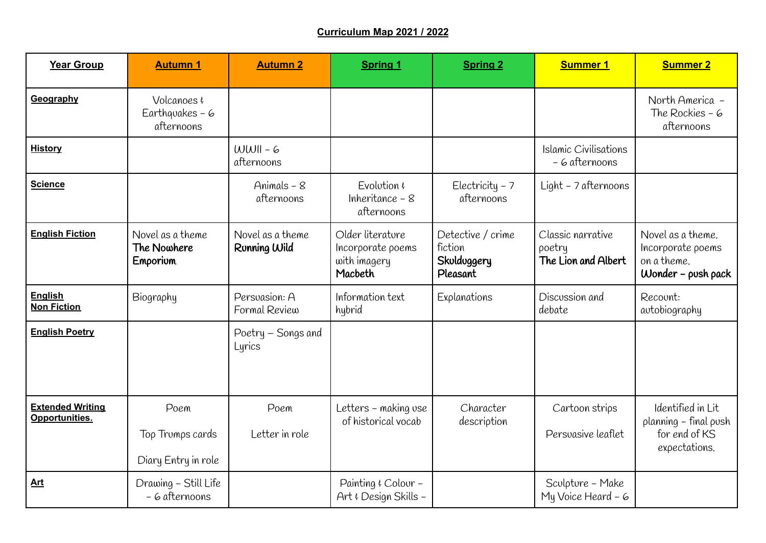## **Curriculum Map 2021 / 2022**

| <b>Year Group</b>                         | <b>Autumn 1</b>                                        | <b>Autumn 2</b>                  | <b>Spring 1</b>                                                  | <b>Spring 2</b>                                         | <b>Summer 1</b>                                    | <b>Summer 2</b>                                                               |
|-------------------------------------------|--------------------------------------------------------|----------------------------------|------------------------------------------------------------------|---------------------------------------------------------|----------------------------------------------------|-------------------------------------------------------------------------------|
| Geography                                 | Volcanoes $\epsilon$<br>Earthquakes $-6$<br>afternoons |                                  |                                                                  |                                                         |                                                    | North America -<br>The Rockies $-6$<br>afternoons                             |
| <b>History</b>                            |                                                        | $WWII - 6$<br>afternoons         |                                                                  |                                                         | Islamic Civilisations<br>- 6 afternoons            |                                                                               |
| <b>Science</b>                            |                                                        | Animals $-8$<br>afternoons       | Evolution $\epsilon$<br>Inheritance $-8$<br>afternoons           | Electricity $-7$<br>afternoons                          | Light - 7 afternoons                               |                                                                               |
| <b>English Fiction</b>                    | Novel as a theme<br>The Nowhere<br>Emporium            | Novel as a theme<br>Ronning Wild | Older literature<br>Incorporate poems<br>with imagery<br>Macbeth | Detective / crime<br>fiction<br>Skulduggery<br>Pleasant | Classic narrative<br>poetry<br>The Lion and Albert | Novel as a theme.<br>Incorporate poems<br>on a theme.<br>$Wonder - push pack$ |
| <b>English</b><br><b>Non Fiction</b>      | Biography                                              | Persuasion: A<br>Formal Review   | Information text<br>hybrid                                       | Explanations                                            | Discussion and<br>debate                           | Recount:<br>autobiography                                                     |
| <b>English Poetry</b>                     |                                                        | Poetry - Songs and<br>Lyrics     |                                                                  |                                                         |                                                    |                                                                               |
| <b>Extended Writing</b><br>Opportunities. | Poem<br>Top Trumps cards<br>Diary Entry in role        | Poem<br>Letter in role           | Letters – making use<br>of historical vocab                      | Character<br>description                                | Cartoon strips<br>Persuasive leaflet               | Identified in Lit<br>planning - final push<br>for end of KS<br>expectations.  |
| <b>Art</b>                                | Drawing - Still Life<br>- 6 afternoons                 |                                  | Painting & Colour -<br>Art & Design Skills -                     |                                                         | Sculpture - Make<br>My Voice Heard - 6             |                                                                               |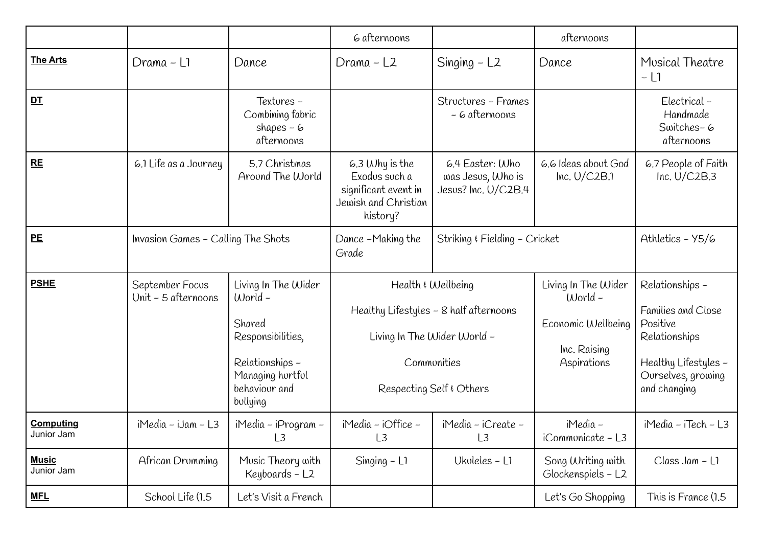|                                |                                        |                                                                                                                                   | 6 afternoons                                                                                  |                                                                                                                                        | afternoons                                                                            |                                                                                                                                  |
|--------------------------------|----------------------------------------|-----------------------------------------------------------------------------------------------------------------------------------|-----------------------------------------------------------------------------------------------|----------------------------------------------------------------------------------------------------------------------------------------|---------------------------------------------------------------------------------------|----------------------------------------------------------------------------------------------------------------------------------|
| <b>The Arts</b>                | Drama - Li                             | Dance                                                                                                                             | Drama - L2                                                                                    | Singing $-$ L2                                                                                                                         | Dance                                                                                 | Musical Theatre<br>$ \lfloor$ $\rceil$                                                                                           |
| DT                             |                                        | Textores-<br>Combining fabric<br>shapes $-6$<br>afternoons                                                                        |                                                                                               | Structures - Frames<br>- 6 afternoons                                                                                                  |                                                                                       | Electrical-<br>Handmade<br>Switches-6<br>afternoons                                                                              |
| RE                             | 6.1 Life as a Journey                  | 5.7 Christmas<br>Around The World                                                                                                 | $6.3$ Why is the<br>Exodus such a<br>significant event in<br>Jewish and Christian<br>history? | 6.4 Easter: Who<br>was Jesus, Who is<br>Jesus? Inc. U/C2B.4                                                                            | 6.6 Ideas about God<br>Inc. $U/C2B.1$                                                 | 6.7 People of Faith<br>Inc. $U/C2B.3$                                                                                            |
| PE                             | Invasion Games - Calling The Shots     |                                                                                                                                   | Dance -Making the<br>Grade                                                                    | Striking & Fielding - Cricket                                                                                                          |                                                                                       | Athletics - Y5/6                                                                                                                 |
| <b>PSHE</b>                    | September Focus<br>Unit - 5 afternoons | Living In The Wider<br>World -<br>Shared<br>Responsibilities,<br>Relationships -<br>Managing hurtful<br>behaviour and<br>bollying |                                                                                               | Health & Wellbeing<br>Healthy Lifestyles - 8 half afternoons<br>Living In The Wider World -<br>Communities<br>Respecting Self & Others | Living In The Wider<br>$World -$<br>Economic Wellbeing<br>Inc. Raising<br>Aspirations | Relationships -<br>Families and Close<br>Positive<br>Relationships<br>Healthy Lifestyles -<br>Ourselves, growing<br>and changing |
| <b>Computing</b><br>Junior Jam | $i$ Media - iJam - L3                  | iMedia – iProgram –<br>L3                                                                                                         | iMedia - iOffice -<br>L3                                                                      | iMedia - iCreate -<br>L3                                                                                                               | iMedia –<br>iCommunicate - L3                                                         | iMedia - iTech - L3                                                                                                              |
| <b>Music</b><br>Junior Jam     | African Drumming                       | Music Theory with<br>Keyboards - L2                                                                                               | Singing $-$ L <sub>1</sub>                                                                    | Ukuleles - L1                                                                                                                          | Song Writing with<br>Glockenspiels - L2                                               | Class Jam - L1                                                                                                                   |
| <b>MFL</b>                     | School Life (1.5                       | Let's Visit a French                                                                                                              |                                                                                               |                                                                                                                                        | Let's Go Shopping                                                                     | This is France (1.5                                                                                                              |